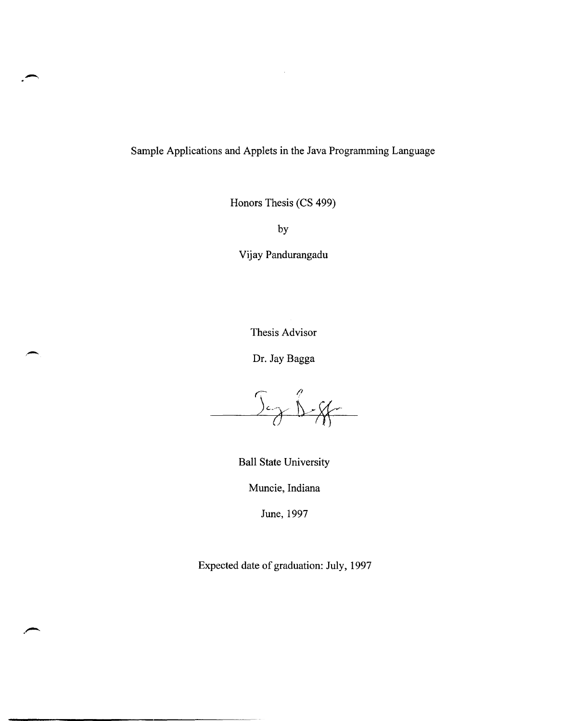Sample Applications and Applets in the Java Programming Language

Honors Thesis (CS 499)

by

Vijay Pandurangadu

Thesis Advisor

Dr. Jay Bagga

Jez B-85

Ball State University

Muncie, Indiana

June, 1997

Expected date of graduation: July, 1997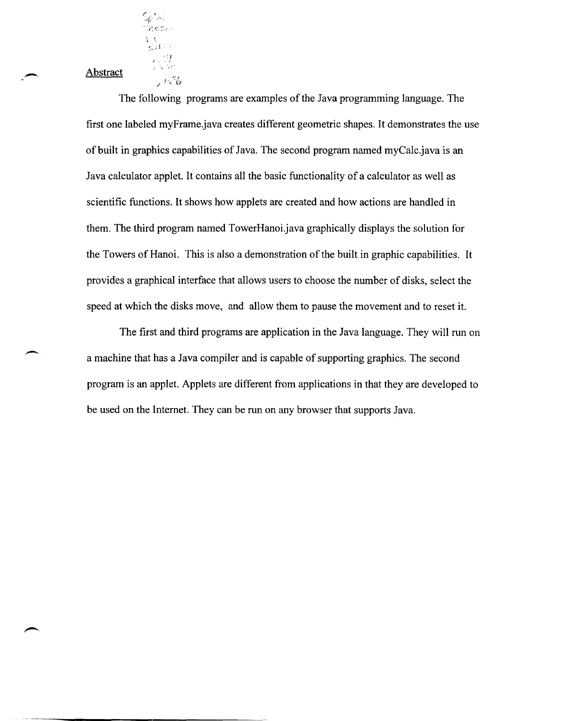Abstract

 ${\cal S}^{\ \star}_{\rho',\alpha}$  ; *,-I.* €.:,,'

 $\epsilon$  ,  $\mathcal{G}$ 

 $1.76$ 

The following programs are examples of the Java programming language. The first one labeled myFrame.java creates different geometric shapes. It demonstrates the use of built in graphics capabilities of Java. The second program named myCalc.java is an Java calculator applet. It contains all the basic functionality of a calculator as well as scientific functions. It shows how applets are created and how actions are handled in them. The third program named TowerHanoi.java graphically displays the solution for the Towers of Hanoi. This is also a demonstration of the built in graphic capabilities. It provides a graphical interface that allows users to choose the number of disks, select the speed at which the disks move, and allow them to pause the movement and to reset it.

The first and third programs are application in the Java language. They will run on a machine that has a Java compiler and is capable of supporting graphics. The second program is an applet. Applets are different from applications in that they are developed to be used on the Internet. They can be run on any browser that supports Java.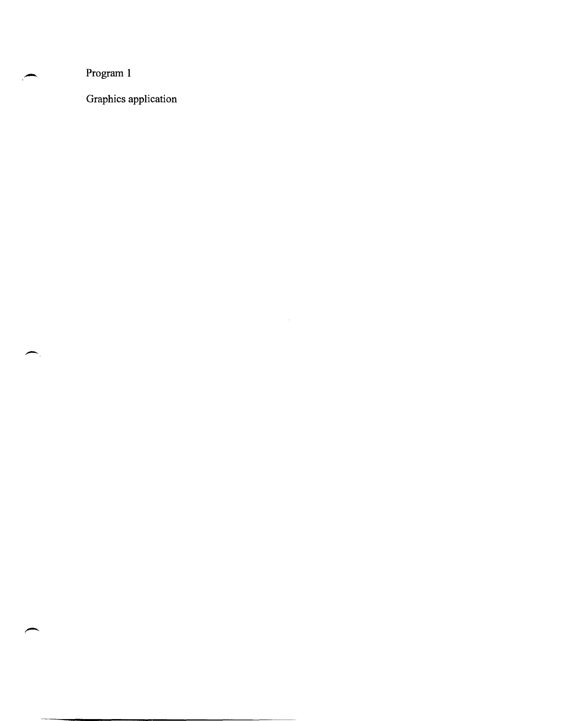Program 1

Graphics application

 $\sim 10^{-10}$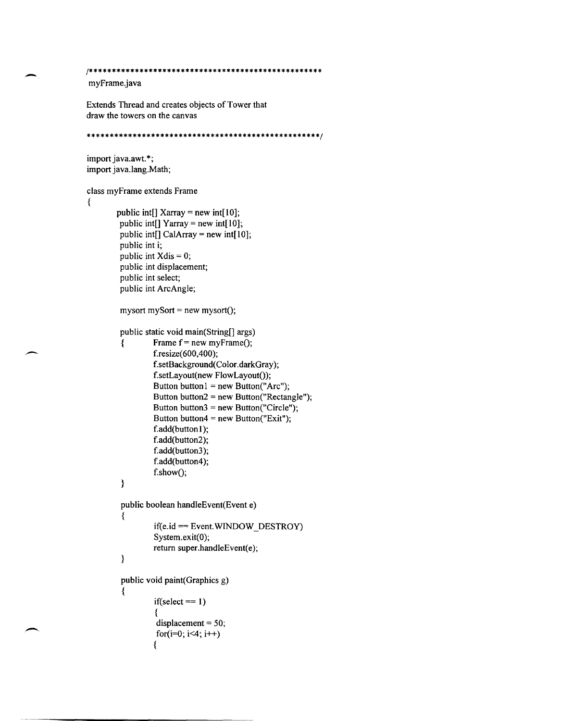```
/***************************************************
```
myFrame.java

-

 $\overline{\phantom{a}}$ 

Extends Thread and creates objects of Tower that draw the towers on the canvas

```
***************************************************/ 
import java.awt. *; 
import java.lang.Math; 
class myFrame extends Frame 
{ 
        public int[] Xarray = new int[10];
         public int[] Yarray = new int[10];
         public int[] CalArray = new int[10];
         public int i; 
         public int Xdis = 0;
         public int displacement; 
         public int select; 
         public int ArcAngle; 
         mysort mySort = new mysort();
         public static void main(String[] args) 
         { 
         } 
                  Frame f = new myFrame();
                  f.resize( 600,400); 
                  f.setBackground(Color.darkGray); 
                  f.setLayout(new FlowLayout()); 
                  Button button l = new Button("Arc");Button button2 = new Button("Rectangle"); 
                  Button button3 = new Button("Circle"); 
                  Button button4 = new Button("Exit");f.add(button1);
                  f.add(button2); 
                  f.add(button3);
                  f.add(button4);
                  f.show();
         public boolean handleEvent(Event e) 
         { 
         } 
                  if(e.id == Event.WNIDOW DESTROY)System.exit(O); 
                  return super.handleEvent(e); 
         public void paint(Graphics g) 
         { 
                  if(select == 1){ 
                   displacement = 50; 
                   for(i=0; i<4; i++)
                  {
```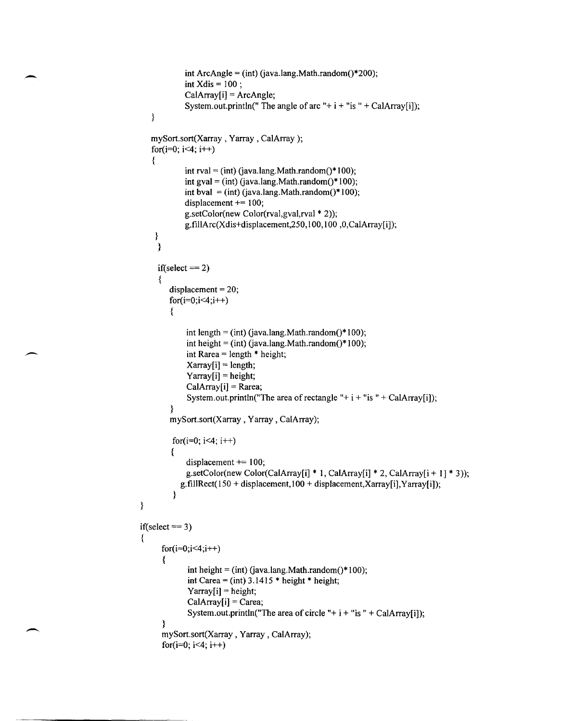```
int ArcAngle = (int) (java.lang.Math.random()*200);
            int Xdis = 100 ;
            CaIArray[i] = ArcAngle; 
            System.out.println(" The angle of arc "+ i + "is " + CalArray[i]);
   \}mySort.sort(Xarray , Yarray , CaIArray); 
   for(i=0; i<4; i++)
   { 
            int rval = (int) (java.lang.Math.random()*100);
            int gval = (int) (java.lang.Math.random()*100);
            int bval = (int) (java.lang.Math.random()*100);
            displacement += 100;g.setColor(new Color(rval,gval,rval * 2));
            g.fillArc(Xdis+displacement,250,100,100,0,CalArray[i]);
    } 
    } 
    if(select == 2){ 
        displacement = 20;
        for(i=0;i<4;i++)
        { 
             int length = (int) (java.lang.Math.random()*100);
             int height = (int) (java.lang.Math.random()*100);
             int Rarea = length * height;
             Xarray[i] = length;Yarray[i] = height;CaIArray[i] = Rarea; 
             System.out.println("The area of rectangle "+ i + "is " + CalArray[i]);
        } 
        mySort.sort(Xarray , Yarray , CaIArray); 
         for(i=0; i<4; i++)
        { 
             displacement += 100; 
             g.setColor(new Color(CalArray[i] * 1, CalArray[i] * 2, CalArray[i + 1] * 3));
           g.fillRect(150 + displacement,100 + displacement,Xarray[i],Yarray[i]);
         } 
} 
if(select == 3){ 
      for(i=0; i<4; i++){ 
             int height = (int) (java.lang.Math.random()*100);
             int Carea = (int) 3.1415 * height * height;
             Yarray[i] = height; 
             CalArray[i] = Carea;System.out.println("The area of circle "+ i + "is " + CalArray[i]);
      } 
      mySort.sort(Xarray, Yarray , CaIArray); 
      for(i=0; i<4; i++)
```
,-

-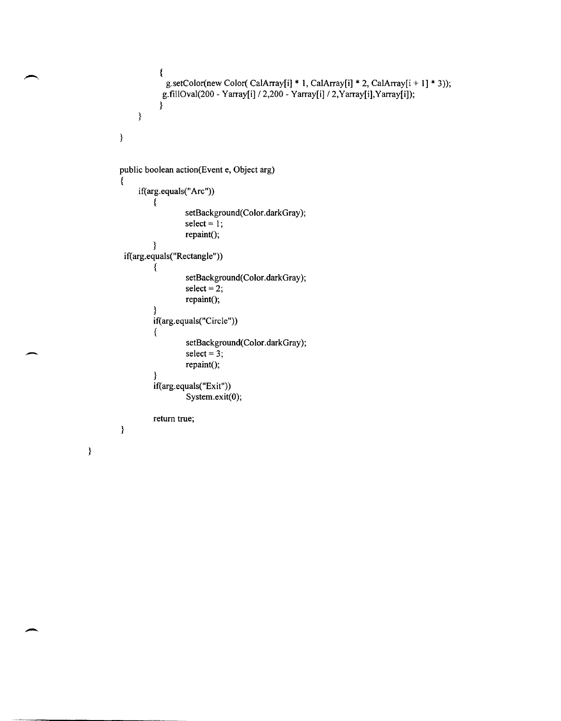```
} 
} 
           { 
           } 
            g.setColor(new Color( CalArray[i] * 1, CalArray[i] * 2, CalArray[i + 1] * 3));
           g.fillOval(200 - Yarray[i] /2,200 - Yarray[i] /2,Yarray[i],Yarray[i]); 
public boolean action(Event e, Object arg) 
{ 
} 
     if(arg.equals("Arc"))
         { 
         } 
                  setBackground(Color.darkGray); 
                  select = 1;
                  repaint();
 if(arg.equals("Rectangle"))
         { 
                  setBackground(Color.darkGray); 
                  select = 2;
                  repaint();
         } 
         if(arg.equals("Circle"))
          { 
          } 
                   setBackground(Color.darkGray);
                   select = 3;
                   repaint();
         if(arg.equals("Exit"))
                   System.exit(O); 
         return true;
```
}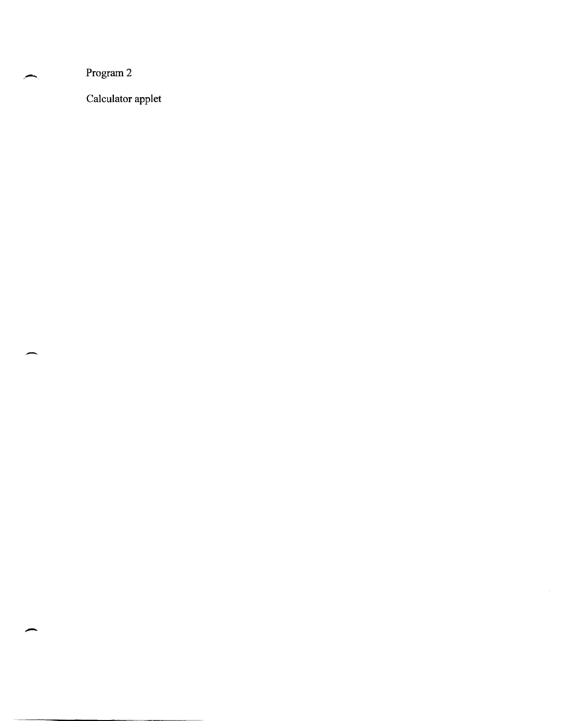Program 2

--

щ ٠.

Calculator applet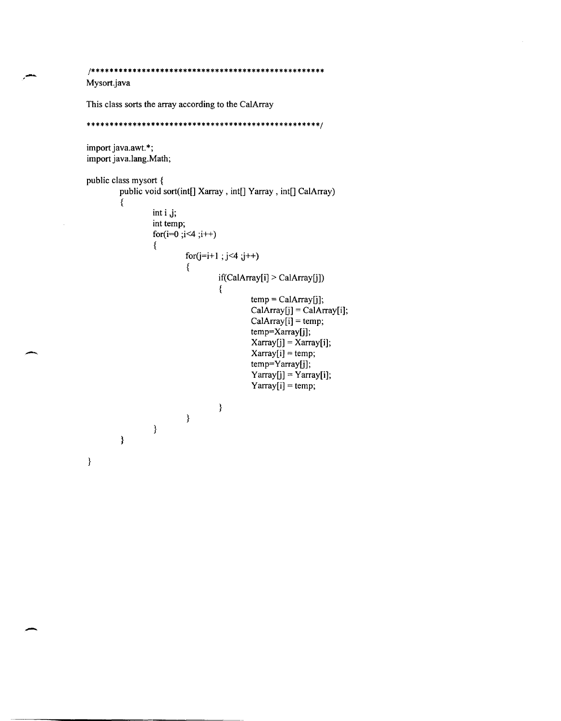```
/*************************************************** 
Mysort.java 
This class sorts the array according to the CalArray 
***************************************************/ 
import java.awt. *; 
import java.lang.Math; 
public class mysort { 
         public void sort(int[] Xarray , int[] Yarray , int[] CalArray) 
         { 
                  int i j; 
                  int temp; 
                  for(i=0;i<4;i++)
                  { 
                           for(j=i+1 ; j<4 ; j++){ 
                                    if(CaIArray[i] > CaIArray[j]) 
                                    { 
                                             temp = CalArray[j];CalArray[j] = CaIArray[i]; 
                                             CalArray[i] = temp;temp=Xarray[j]; 
                                             Xarray[j] = Xarray[i]; 
                                             Xarray[i] = temp; 
                                             temp=Yarray[j]; 
                                             Yarray[j] = Yarray[i];Yarrow[i] = temp;\mathcal{E}} 
                  \}}
```
,-

-

}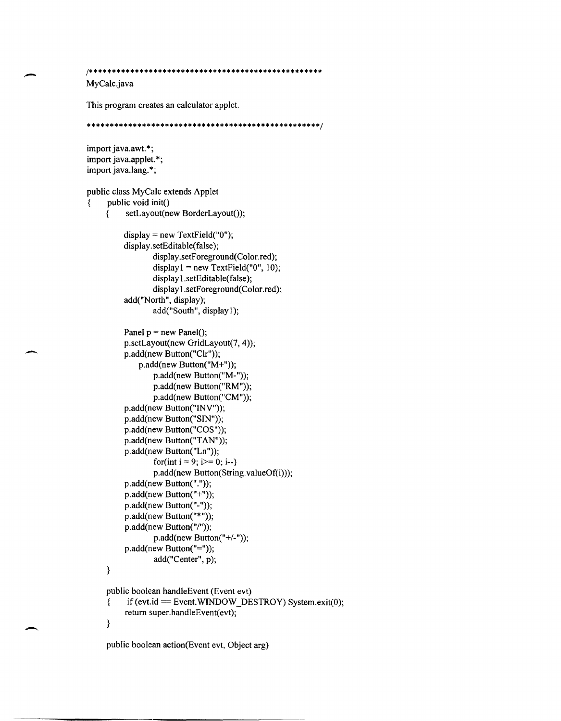```
1*************************************************** 
MyCalc.java 
This program creates an calculator applet. 
***************************************************1 
import java.awt. *; 
import java.applet. *; 
import java.lang. *; 
public class MyCalc extends Applet 
\{ public void init()
     \overline{\mathcal{S}} setLayout(new BorderLayout());
     } 
          display = new TextField("O"); 
          display.setEditable(false);
                  display.setForeground(Color.red);
                  display I = new TextField("0", 10);
                  display 1.setEditable(false);
                  displayl.setForeground(Color.red); 
          add("North", display); 
                  add("South", display 1); 
          Panel p = new Panel();
          p.setLayout(new GridLayout(7, 4));
         p.add(new Button("Clr"));
             p.add(new Button("M<sup>+</sup>");p.add(new Button("M-"));
                  p.add(new Button("RM"));
                  p.add(new Button("CM"));
          p.add(new Button("INV"));
          p.add(new Button("SIN"));
          p.add(new Button("COS"));
          p.add(new Button("TAN"));
          p.add(new Button("Ln"));
                  for(int i = 9; i > = 0; i--)
                  p.add(new Button(String.valueOf(i)));
          p.add(new Button("."));
          p.add(new Button("+");
          p.add(new Button("-"));
          p.add(new Button("*"));
          p.add(new Button("/"));
                  p.add(new Button("+/-"));
          p.add(new Button("="));
                  add("Center", p); 
     public boolean handleEvent (Event evt) 
     {\bf i} if (evt.id == Event. WINDOW_DESTROY) System.exit(0);
          return super.handleEvent(evt);
     }
```
-

public boolean action(Event evt, Object arg)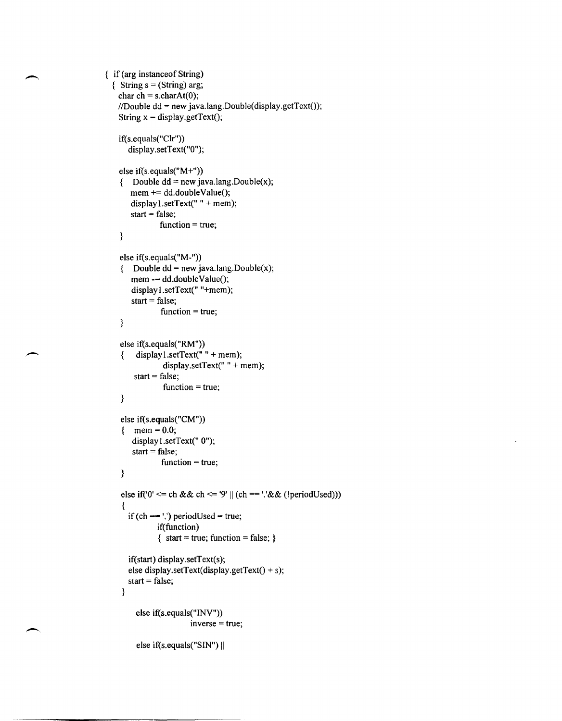```
{ if (arg instance of String)
 \{ String s = (String) arg;
   char ch = s.charAt(0);
   //Double dd = new java.lang.Double(display.getText());String x = display.getText();
   if(s.equals("Clr") ) 
      display.setText("O"); 
    else if(s.equals("M+")) 
    { Double dd = new java.lang.Double(x);mem += dd.doubleValue();
       display l.setText(" " + mem);start = false;
               function = true;
    } 
    else if(s.equals("M-")) 
    { Double dd = new java.lang.Double(x);
       mem = dd.doubleValue();
       display 1.setText(" "+mem); 
       start = false;
               function = true;} 
    else if(s.equals("RM")) 
    { display1.setText(" " + mem);
                display.setText(" " + mem);
        start = false;
                function = true; 
    } 
    else if(s.equals("CM")) 
    { {men} = 0.0;display1.setText(" 0");
       start = false;
               function = true; 
    } 
    else if (0' \leq ch \&\& ch \leq 9' || (ch == \&\& (lperiodUsed))){ 
    } 
      if (ch == \prime!) periodUsed = true;
              if(function) 
              { start = true; function = false; }
      if(start) display.setText(s); 
      else display.setText(display.getText() + s);
      start = false;else if(s.equals("INV")) 
                        inverse = true; 
        else if(s.equals("SIN") ||
```
--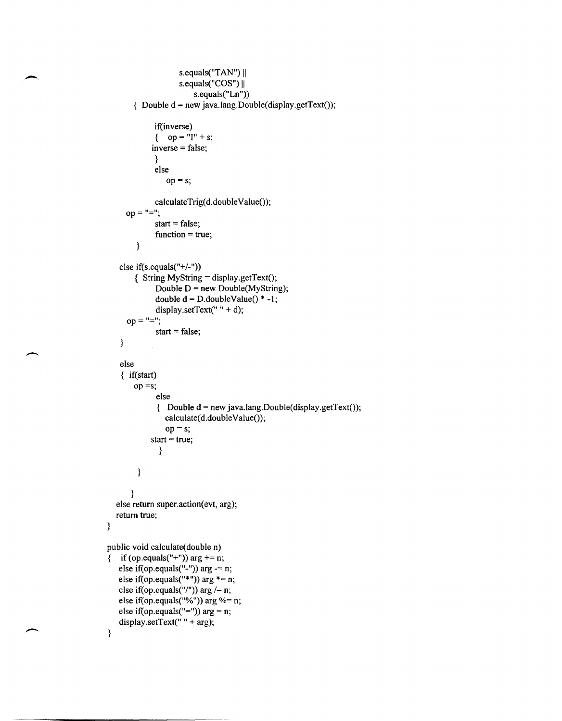```
s.equals("TAN") ||
                    s.equals("COS") ||
                        s. equals("Ln"){ Double d = new java.lang.Double(display.getText());if(inverse)
             { op = "I" + s;inverse = false; 
             } 
             else 
                op = s;
             calculateTrig(d.doubleValue());
     op = "=";
             start = false;
             function = true;} 
   else if(s.equals("+/-"))
       \{ String MyString = display.getText();
             Double D = new Double(MyString);double d = D.doubleValue() * -1;
             display.setText(" " + d);
     op = "="':start = false;} 
   else 
   { if(start) 
       op =s;else 
              { Double d = new java.lang.Double(display.getText());calculate(d.doubleValue());
                op = s;
            start = true;
              } 
        \}\}else return super.action(evt, arg); 
  return true; 
public void calculate(double n) 
{ if (op.equals("+")) arg += n;
   else if(op.equals("-")) arg = n;
   else if(op.equals("*")) arg *= n;
   else if(op.equals("/")) arg /= n;
   else if(op.equals("%")) arg %= n;
   else if(op.equals("=")) arg = n;
   display.setText(" " + arg); }
```
 $\overline{\phantom{0}}$ 

 $\overline{\phantom{0}}$ 

}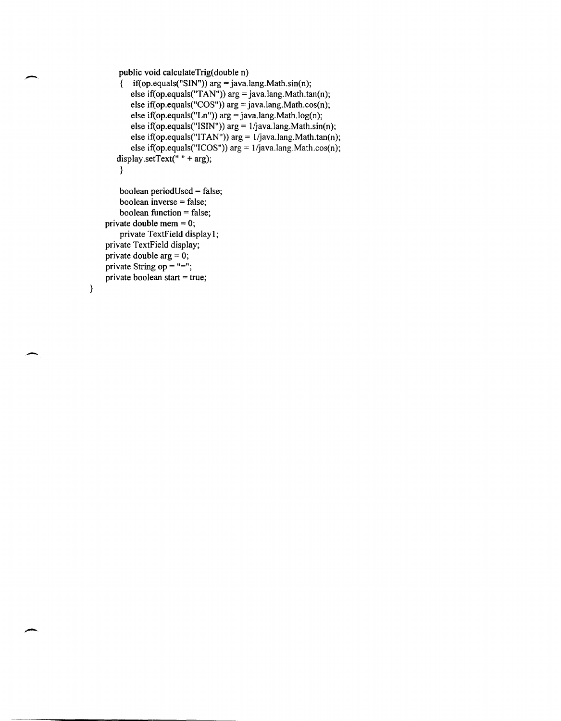```
public void caJculateTrig(double n)
```

```
{ if(op.equals("SIN")) arg = java.lang.Math.sin(n); 
   else if(op.equals("TAN")) arg = java.lang.Math.tan(n); 
   else if(op.equals("COS")) arg = java.lang.Math.cos(n); 
    else if(op.equals("Ln")) arg = java.lang.Math.log(n); 
    else if(op.equals("ISIN")) arg = 1/java.lang.Math.sin(n);
   else if(op.equals("ITAN")) arg = 1/java.lang.Math.tan(n);else if(op.equals("ICOS")) arg = l/java.lang.Math.cos(n); 
display.setText(" " + arg);
}
```

```
boolean periodUsed = false; 
    boolean inverse = false; 
    boolean function = false; 
private double mem = 0;
    private TextField display 1; 
private TextField display; 
private double arg = 0; 
private String op = "=";
private boolean start = true;
```

```
}
```
 $\overline{\phantom{0}}$ 

-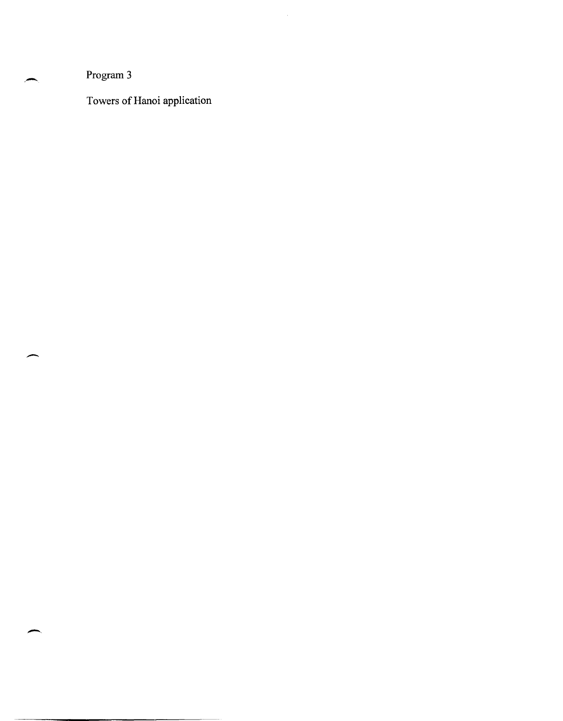Program 3

 $\overline{\phantom{a}}$ 

Towers of Hanoi application

 $\hat{\mathcal{A}}$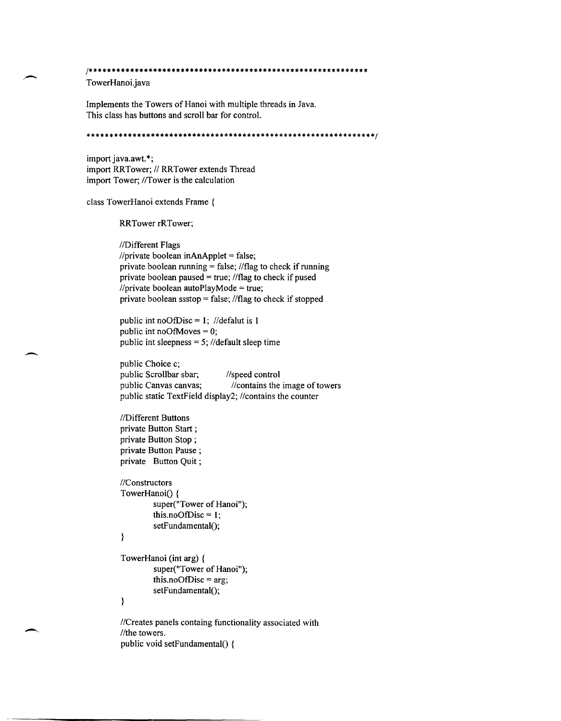*1\*\*\*\*\*\*\*\*\*\*\*\*\*\*\*\*\*\*\*\*\*\*\*\*\*\*\*\*\*\*\*\*\*\*\*\*\*\*\*\*\*\*\*\*\*\*\*\*\*\*\*\*\**\*\*\*\*\*\*\*\* TowerHanoi.java

Implements the Towers of Hanoi with multiple threads in Java. This class has buttons and scroll bar for control.

\*\*\*\*\*\*\*\*\*\*\*\*\*\*\*\*\*\*\*\*\*\*\*\*\*\*\*\*\*\*\*\*\*\*\*\*\*\*\*\*\*\*\*\*\*\*\*\*\*\*\*\*\*\**\*\*\*\*\*\*\*\*\*1* 

import java.awt. \*; import RRTower; // RRTower extends Thread import Tower; //Tower is the calculation

class TowerHanoi extends Frame {

RRTower rRTower;

//Different Flags  $I$ rivate boolean inAnApplet = false; private boolean running  $=$  false; //flag to check if running private boolean paused = true;  $//flag$  to check if pused  $I$ private boolean autoPlayMode = true; private boolean ssstop = false;  $//flag$  to check if stopped

public int noOfDisc = 1; //defalut is 1 public int noOfMoves  $= 0$ ; public int sleepness =  $5$ ; //default sleep time

public Choice c; public Scrollbar sbar; //speed control public Canvas canvas;  $\frac{1}{\sqrt{2}}$  //contains the image of towers public static TextField display2; //contains the counter

//Different Buttons private Button Start ; private Button Stop; private Button Pause; private Button Quit;

//Constructors TowerHanoi() { super("Tower of Hanoi"); this.noOfDisc =  $1$ ; setFundamental();

## }

---

```
TowerHanoi (int arg) { 
        super("Tower of Hanoi"); 
        this.noOfDisc = arg;setFundamental();
\}
```
//Creates panels containg functionality associated with //the towers. public void setFundamental() {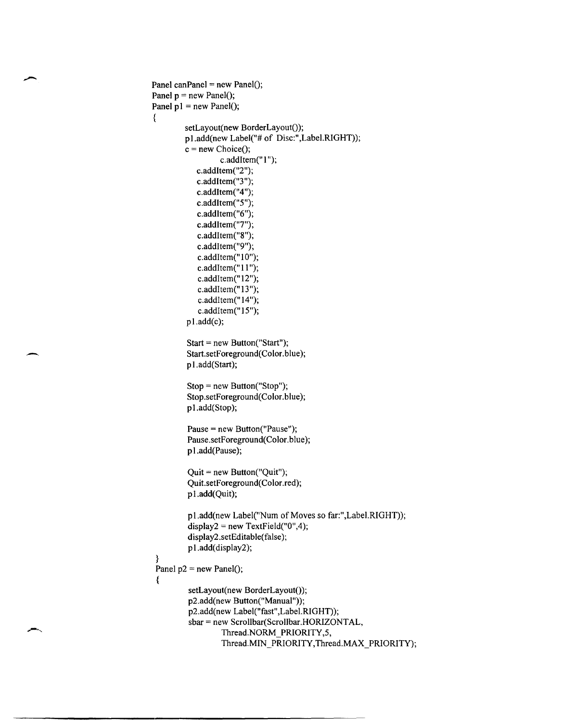```
Panel canPanel = new Panel();
Panel p = new Panel();
Panel p1 = new Panel();
{ 
 } 
         setLayout(new BorderLayout()); 
         p1.add(new Label("# of Disc:",Label.RIGHT));
         c = new Choice();c.addItem("1");
            c.addltem("2"); 
            c.addltem("3"); 
            c.addJtem("4"); 
            c.addJtem("5"); 
            c.addltem("6"); 
            c.addltem("7"); 
            c.addltem("8"); 
            c.addItem("9"); 
            c.addItem("10");
            c.addItem("11");
            c.addItem(" 12"); 
            c.addItem(" 13 "); 
            c.addItem("14");
            c.addItem("15");
         pl.add(c); 
         Start = new Button("Start"); 
         Start.setForeground(Color. blue); 
         p l.add(Start); 
         Stop = new Button("Stop"); 
         Stop.setForeground(Color.blue); 
         p l.add(Stop); 
         Pause = new Button("Pause"); 
         Pause.setForeground(Color.blue);
         p l.add(Pause); 
         Quit = new Button("Quit"); 
         Quit.setForeground(Color.red); 
         p l.add(Quit); 
         p1.add(new Label("Num of Moves so far:",Label.RIGHT));
         display2 = new TextField("0", 4);display2 .setEditable(false); 
         p1.add(display2);
 Panel p2 = new Panel();
 { 
         setLayout(new BorderLayout()); 
         p2.add(new Button("Manual"));
          p2.add(new Label("fast",Label.RIGHT));
          sbar = new Scrollbar(Scrollbar.HORIZONTAL, 
                  Thread.NORM_PRIORITY,5,
                  Thread.MIN_PRIORITY,Thread.MAX_PRIORITY);
```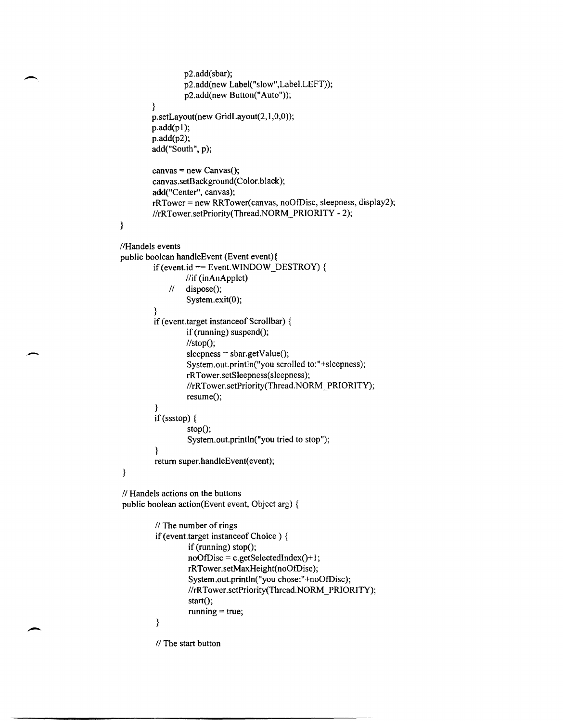```
p2.add(sbar); 
                 p2.add(new Label("slow",Label.LEFT));
                 p2.add(new Button("Auto"));
         } 
         p.setLayout(new GridLayout(2,1,0,0));
        p.add(pl); 
        p.add(p2); 
         add("South", p);
         canvas = new Canvas();
         canvas.setBackground(Color.black); 
         add("Center", canvas);
         rRTower = new RRTower(canvas, noOtDisc, sleepness, display2); 
         //rRTower.setPriority(Thread.NORM_PRIORITY - 2);
} 
//Handels events
public boolean handleEvent (Event event){ 
         if (event.id == Event.WINDOW_DESTROY) {
                  \frac{1}{i} (inAnApplet)
             11 dispose();
                  System.exit(O); 
         } 
         if (event. target instanceof Scrollbar) { 
                  if (running) suspend();
                  \mathcal{U}\text{stop}();
                  sleepness = sbar.getValue();
                  System.out.println("you scrolled to:"+sleepness);
                  rRTower.setSleepness(sleepness); 
                  //rRTower.setPriority(Thread.NORM_PRIORITY);
                  resume;
          } 
         if(ssstop) { 
                  stop();
                  System.out.println("you tried to stop");
         } 
         return super.handleEvent(event);
} 
// Handels actions on the buttons
public boolean action(Event event, Object arg) { 
         \frac{1}{2} The number of rings
         if (event.target instanceof Choice) { 
                  if (running) stop();
                  noOfDisc = c.getSelectedIndex() + 1;rRTower.setMaxHeight(noOtDisc ); 
                  System.out.println("you chose:"+noOfDisc);
                  //rRTower.setPriority(Thread.NORM_PRIORITY);
                  start();
                   running = true; 
          €
```
 $//$  The start button

-

-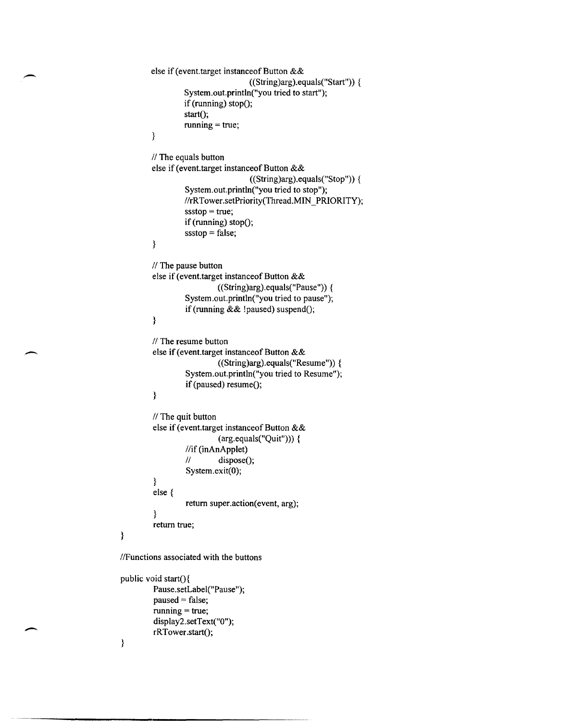```
else if (event.target instanceof Button &&
                                     ((String)arg).equals("Start")} {
                   System.out.println("you tried to start"); 
                  if (running) stop();
                   start();
                  running = true;\mathcal{E}II The equals button
         else if (event. target instanceof Button && 
                                     ((String)arg).equals("Stop")) {
                   System.out.println("you tried to stop"); 
                   //rRTower.setPriority(Thread.MIN_PRIORITY);
                   s_{\text{sstop}} = \text{true};if (running) stop();
                   s_{sstop} = false;} 
         // The pause button
         else if (event.target instanceof Button &&
                            ((String)arg).equals("Pause")) {
                   System.out.println("you tried to pause"); 
                   if (running & \& !paused) suspend();
         } 
         II The resume button
         else if (event.target instanceof Button &&
                            ((String)arg).equals("Resume") {
                   System.out.println("you tried to Resume"); 
                   if (paused) resume();
         } 
         II The quit button
         else if (event.target instanceof Button &&
                            (\arg_{\text{equals}}("Quit"))) {
                   //if (inAnApplet)
                   11 dispose();
                   System.exit(O); 
         } 
         else { 
                   return super.action(event, arg);
         } 
         return true; 
I/Functions associated with the buttons 
public void start(){
```

```
Pause.setLabel("Pause"); 
paused = false;running = true;dispiay2.setText("O"); 
rRTower.start();
```

```
}
```
}

-

-

 $\overline{\phantom{a}}$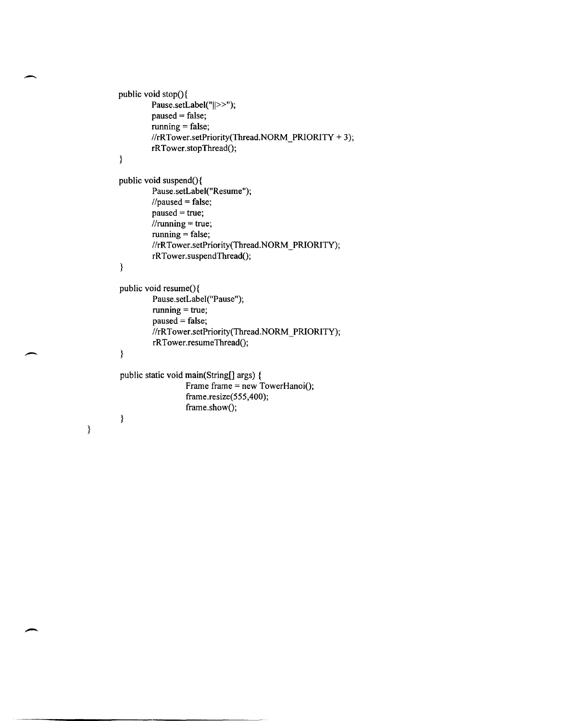```
public void stop(){
         Pause.setLabel("||>>");
         paused = false;running = false; 
         //rRTower.setPriority(Thread.NORM_PRIORITY + 3);
         rRTower.stopThread();
\overline{\mathbf{3}}public void suspend(){
         Pause.setLabel("Resume"); 
         //paused = false;
         paused = true;\frac{1}{2}//running = true;
         running = false;//rRTower.setPriority(Thread.NORM PRIORITY);
         rRTower.suspendThread();
} 
public void resume(){
         Pause.setLabel("Pause"); 
         running = true;paused = false; 
         //rRTower.setPriority(Thread.NORM_PRIORITY);
         rRTower.resumeThread();
} 
public static void main(String[] args) { 
                  Frame frame = new TowerHanoi();
                  frame.resize(555,400); 
                  frame.show();
}
```
..-

}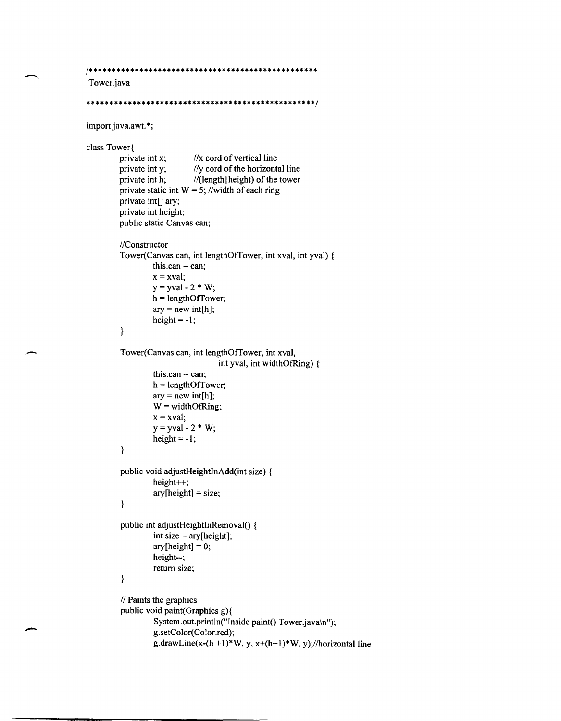```
1************************************************** 
Tower.java 
**************************************************1 
import java.awt.*;
class Tower\{\nvert \text{private int } x;\nvert\}private int x; I/x cord of vertical line<br>private int y; I/y cord of the horizont
         private int y; I/y cord of the horizontal line<br>private int h; //(length||height) of the tower
                                //(length||height) of the tower
          private static int W = 5; //width of each ring
          private int[] ary; 
          private int height; 
          public static Canvas can; 
          IIConstructor 
          Tower(Canvas can, int lengthOffower, int xval, int yval) { 
                    this.can = can;
                    x = xval:
                    y = yval - 2 * W;h = lengthOfTower;
                    ary = new int[h];height = -1;
          } 
          Tower(Canvas can, int lengthOffower, int xval, 
                                        int yval, int widthOtRing) { 
                    this.can = can;
                    h = lengthOffower; 
                    ary = new int[h];W = \text{widthOfRing};x = xval;y = yval - 2 * W;height = -1;
          } 
          public void adjustHeightInAdd(int size) { 
                    height++; 
                    ary[height] = size;\}public int adjustHeightInRemoval() {
                    int size = ary[height]; 
                    ary[height] = 0;height--; 
                    return size; 
          \big\}II Paints the graphics 
          public void paint(Graphics g){ 
                    System.out.println("Inside paint() Tower.java\n");
                    g.setColor(Color.red);
```
-

```
g.drawLine(x-(h +1)*W, y, x+(h+1)*W, y);//horizontal line
```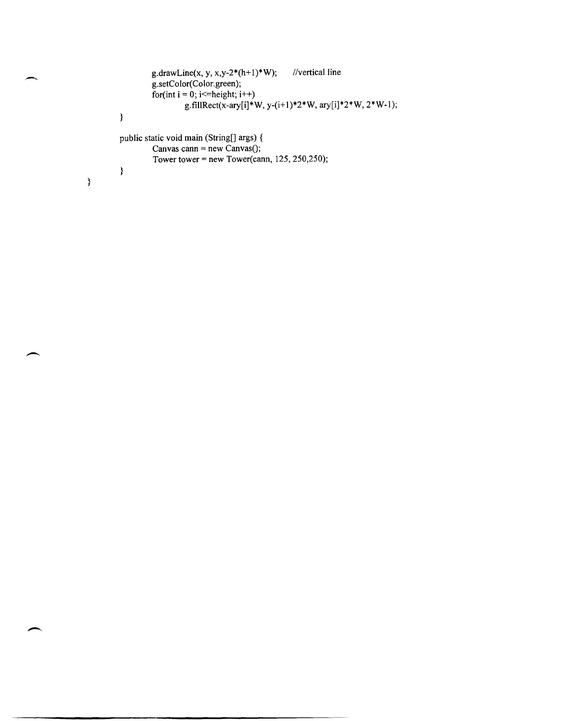```
g.drawLine(x, y, x,y-2*(h+1)*W); //vertical line
        g.setColor(Color.green); 
        for(int i = 0; i \le=height; i++)
                 g.fillRect(x-ary[i]*W, y-(i+1)*2*W, ary[i]*2*W, 2*W-1);
} 
public static void main (String[] args) { 
        Canvas cann = new Canvas();
        Tower tower = new Tower(cann, 125, 250,250);
}
```
 $\overline{\phantom{a}}$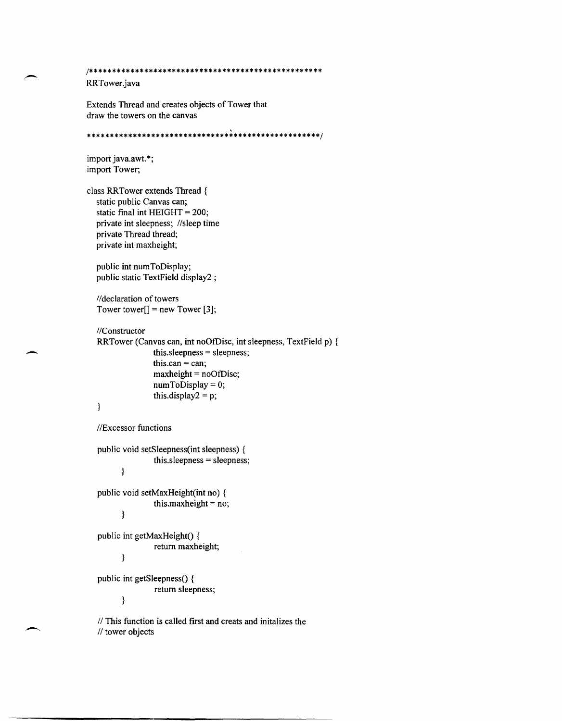```
1*************************************************** 
RRTower.java 
Extends Thread and creates objects of Tower that 
draw the towers on the canvas 
\ 
***************************************************1
```

```
import java.awt.*;
import Tower; 
class RRTower extends Thread { 
  static public Canvas can; 
  static final int HEIGHT = 200; 
  private int sleepness; //sleep time
  private Thread thread; 
  private int maxheight; 
  public int numToDisplay; 
  public static TextField display2 ; 
  //declaration of towers
  Tower tower[] = new Tower [3];IIConstructor 
  RRTower (Canvas can, int noOfDisc, int sleepness, TextField p) { 
                  this.sleepness = sleepness; 
                  this.can = can;
                  maxheight = noOfDisc; 
                  numToDisplay = 0; 
                  this.display2 = p;
   }
  IIExcessor functions 
  public void setSleepness(int sleepness) { 
                  this.sleepness = sleepness; 
         } 
   public void setMaxHeight(int no) { 
                  this.maxheight = no; 
         } 
   public int getMaxHeight() {
                  return maxheight; 
         } 
   public int getSleepness() {
                  return sleepness; 
         }
```
 $\overline{\phantom{0}}$ 

*II* This function is called first and creats and initalizes the *1/* tower objects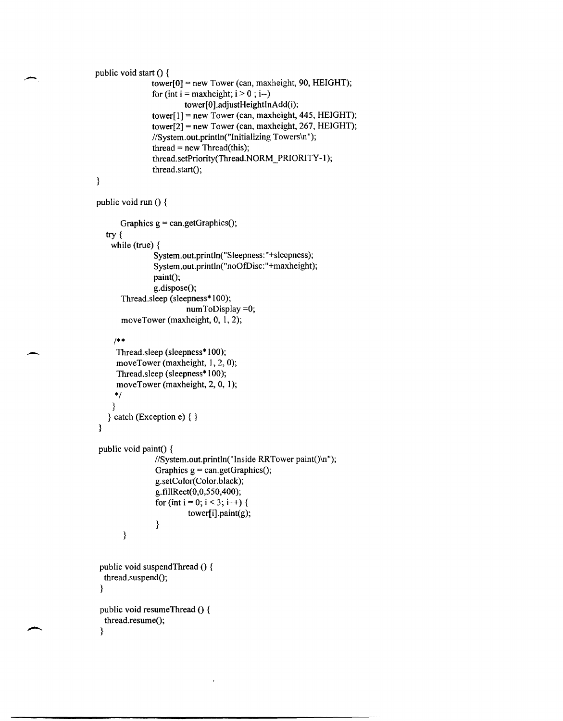```
public void start () {
               tower[0] = new Tower (can, maxheight, 90, HEIGHT);for (int i = maxheight; i > 0; i-jtower[0].adjustHeightInAdd(i);
               tower[l] = new Tower (can, maxheight, 445, HEIGHT); 
               tower[2] = new Tower (can, maxheight, 267, HEIGHT); 
               //System.out.println("Initializing Towers\n");
               thread = new Thread(this); 
               thread.setPriority(Thread.NORM_PRIORITY-1);
               thread.start();
```

```
}
```
.-

 $\overline{\phantom{0}}$ 

```
public void run () {
```

```
Graphics g = \text{can.getGraphics}();
try { 
 while (true) { 
             System. out. println(" Sleepness: "+sleepness); 
             System. out. println("noOfDisc: "+maxheight); 
             paint();g.dispose();
    Thread.sleep (sleepness* 100); 
                       numToDisplay =0; 
    moveTower (maxheight, 0, 1, 2);
```
## *1\*\**

```
} 
     Thread.sleep (sleepness* 100); 
     moveTower (maxheight, 1, 2, 0);
     Thread.sleep (sleepness* 100); 
     moveTower (maxheight, 2, 0, I); 
    *1 
    } 
  } catch (Exception e) { } 
public void paint() {
       } 
                //System.out.println("Inside RRTower paint()\n");
                Graphics g = can.getGraphics();
                g.setColor(Color.black); 
                g.fillRect(0,0,550,400); 
                for (int i = 0; i < 3; i++) {
                         tower[i].paint(g);
                } 
public void suspendThread () { 
 thread.suspend();
} 
public void resumeThread () {
 thread.resume();
}
```